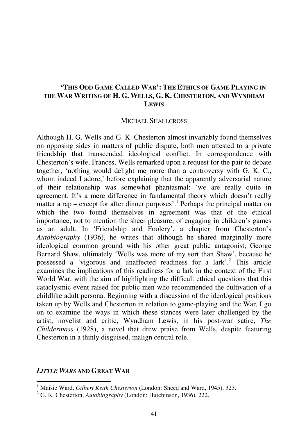# **'THIS ODD GAME CALLED WAR': THE ETHICS OF GAME PLAYING IN THE WAR WRITING OF H. G. WELLS, G. K. CHESTERTON, AND WYNDHAM LEWIS**

#### MICHAEL SHALLCROSS

Although H. G. Wells and G. K. Chesterton almost invariably found themselves on opposing sides in matters of public dispute, both men attested to a private friendship that transcended ideological conflict. In correspondence with Chesterton's wife, Frances, Wells remarked upon a request for the pair to debate together, 'nothing would delight me more than a controversy with G. K. C., whom indeed I adore,' before explaining that the apparently adversarial nature of their relationship was somewhat phantasmal: 'we are really quite in agreement. It's a mere difference in fundamental theory which doesn't really matter a rap  $-$  except for after dinner purposes'.<sup>1</sup> Perhaps the principal matter on which the two found themselves in agreement was that of the ethical importance, not to mention the sheer pleasure, of engaging in children's games as an adult. In 'Friendship and Foolery', a chapter from Chesterton's *Autobiography* (1936), he writes that although he shared marginally more ideological common ground with his other great public antagonist, George Bernard Shaw, ultimately 'Wells was more of my sort than Shaw', because he possessed a 'vigorous and unaffected readiness for a lark'.<sup>2</sup> This article examines the implications of this readiness for a lark in the context of the First World War, with the aim of highlighting the difficult ethical questions that this cataclysmic event raised for public men who recommended the cultivation of a childlike adult persona. Beginning with a discussion of the ideological positions taken up by Wells and Chesterton in relation to game-playing and the War, I go on to examine the ways in which these stances were later challenged by the artist, novelist and critic, Wyndham Lewis, in his post-war satire, *The Childermass* (1928), a novel that drew praise from Wells, despite featuring Chesterton in a thinly disguised, malign central role.

### *LITTLE WARS* **AND GREAT WAR**

<sup>&</sup>lt;sup>1</sup> Maisie Ward, *Gilbert Keith Chesterton* (London: Sheed and Ward, 1945), 323.

<sup>2</sup> G. K. Chesterton, *Autobiography* (London: Hutchinson, 1936), 222.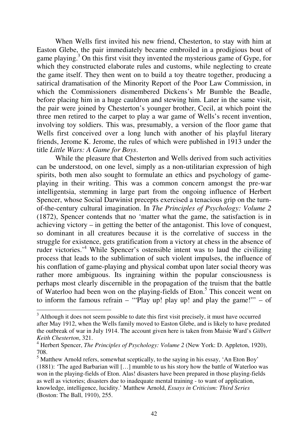When Wells first invited his new friend, Chesterton, to stay with him at Easton Glebe, the pair immediately became embroiled in a prodigious bout of game playing.<sup>3</sup> On this first visit they invented the mysterious game of Gype, for which they constructed elaborate rules and customs, while neglecting to create the game itself. They then went on to build a toy theatre together, producing a satirical dramatisation of the Minority Report of the Poor Law Commission, in which the Commissioners dismembered Dickens's Mr Bumble the Beadle, before placing him in a huge cauldron and stewing him. Later in the same visit, the pair were joined by Chesterton's younger brother, Cecil, at which point the three men retired to the carpet to play a war game of Wells's recent invention, involving toy soldiers. This was, presumably, a version of the floor game that Wells first conceived over a long lunch with another of his playful literary friends, Jerome K. Jerome, the rules of which were published in 1913 under the title *Little Wars: A Game for Boys*.

While the pleasure that Chesterton and Wells derived from such activities can be understood, on one level, simply as a non-utilitarian expression of high spirits, both men also sought to formulate an ethics and psychology of gameplaying in their writing. This was a common concern amongst the pre-war intelligentsia, stemming in large part from the ongoing influence of Herbert Spencer, whose Social Darwinist precepts exercised a tenacious grip on the turnof-the-century cultural imagination. In *The Principles of Psychology: Volume 2* (1872), Spencer contends that no 'matter what the game, the satisfaction is in achieving victory – in getting the better of the antagonist. This love of conquest, so dominant in all creatures because it is the correlative of success in the struggle for existence, gets gratification from a victory at chess in the absence of ruder victories.<sup>4</sup> While Spencer's ostensible intent was to laud the civilizing process that leads to the sublimation of such violent impulses, the influence of his conflation of game-playing and physical combat upon later social theory was rather more ambiguous. Its ingraining within the popular consciousness is perhaps most clearly discernible in the propagation of the truism that the battle of Waterloo had been won on the playing-fields of Eton.<sup>5</sup> This conceit went on to inform the famous refrain – "Play up! play up! and play the game!" – of

 $3$  Although it does not seem possible to date this first visit precisely, it must have occurred after May 1912, when the Wells family moved to Easton Glebe, and is likely to have predated the outbreak of war in July 1914. The account given here is taken from Maisie Ward's *Gilbert Keith Chesterton*, 321.

<sup>&</sup>lt;sup>4</sup> Herbert Spencer, *The Principles of Psychology: Volume 2* (New York: D. Appleton, 1920), 708.

<sup>&</sup>lt;sup>5</sup> Matthew Arnold refers, somewhat sceptically, to the saying in his essay, 'An Eton Boy' (1881): 'The aged Barbarian will […] mumble to us his story how the battle of Waterloo was won in the playing-fields of Eton. Alas! disasters have been prepared in those playing-fields as well as victories; disasters due to inadequate mental training - to want of application, knowledge, intelligence, lucidity.' Matthew Arnold, *Essays in Criticism: Third Series* (Boston: The Ball, 1910), 255.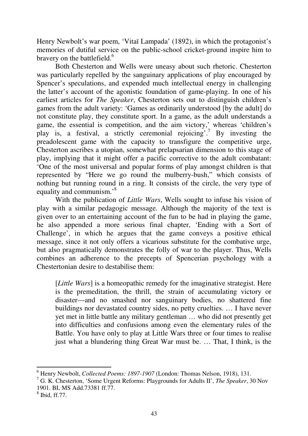Henry Newbolt's war poem, 'Vitaï Lampada' (1892), in which the protagonist's memories of dutiful service on the public-school cricket-ground inspire him to bravery on the battlefield.<sup>6</sup>

Both Chesterton and Wells were uneasy about such rhetoric. Chesterton was particularly repelled by the sanguinary applications of play encouraged by Spencer's speculations, and expended much intellectual energy in challenging the latter's account of the agonistic foundation of game-playing. In one of his earliest articles for *The Speaker*, Chesterton sets out to distinguish children's games from the adult variety: 'Games as ordinarily understood [by the adult] do not constitute play, they constitute sport. In a game, as the adult understands a game, the essential is competition, and the aim victory,' whereas 'children's play is, a festival, a strictly ceremonial rejoicing'.<sup>7</sup> By investing the preadolescent game with the capacity to transfigure the competitive urge, Chesterton ascribes a utopian, somewhat prelapsarian dimension to this stage of play, implying that it might offer a pacific corrective to the adult combatant: 'One of the most universal and popular forms of play amongst children is that represented by "Here we go round the mulberry-bush," which consists of nothing but running round in a ring. It consists of the circle, the very type of equality and communism.<sup>8</sup>

With the publication of *Little Wars*, Wells sought to infuse his vision of play with a similar pedagogic message. Although the majority of the text is given over to an entertaining account of the fun to be had in playing the game, he also appended a more serious final chapter, 'Ending with a Sort of Challenge', in which he argues that the game conveys a positive ethical message, since it not only offers a vicarious substitute for the combative urge, but also pragmatically demonstrates the folly of war to the player. Thus, Wells combines an adherence to the precepts of Spencerian psychology with a Chestertonian desire to destabilise them:

[*Little Wars*] is a homeopathic remedy for the imaginative strategist. Here is the premeditation, the thrill, the strain of accumulating victory or disaster—and no smashed nor sanguinary bodies, no shattered fine buildings nor devastated country sides, no petty cruelties. … I have never yet met in little battle any military gentleman … who did not presently get into difficulties and confusions among even the elementary rules of the Battle. You have only to play at Little Wars three or four times to realise just what a blundering thing Great War must be. … That, I think, is the

<sup>6</sup> Henry Newbolt, *Collected Poems: 1897-1907* (London: Thomas Nelson, 1918), 131.

<sup>7</sup> G. K. Chesterton, 'Some Urgent Reforms: Playgrounds for Adults II', *The Speaker*, 30 Nov 1901. BL MS Add.73381 ff.77.

<sup>8</sup> Ibid, ff.77.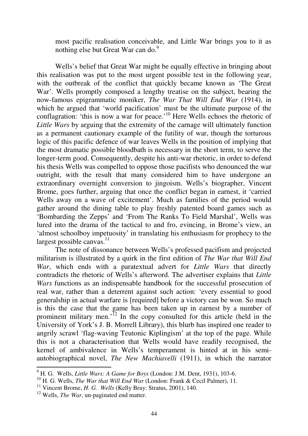most pacific realisation conceivable, and Little War brings you to it as nothing else but Great War can do. $9$ 

Wells's belief that Great War might be equally effective in bringing about this realisation was put to the most urgent possible test in the following year, with the outbreak of the conflict that quickly became known as 'The Great War'. Wells promptly composed a lengthy treatise on the subject, bearing the now-famous epigrammatic moniker, *The War That Will End War* (1914), in which he argued that 'world pacification' must be the ultimate purpose of the conflagration: 'this is now a war for peace.'<sup>10</sup> Here Wells echoes the rhetoric of *Little Wars* by arguing that the extremity of the carnage will ultimately function as a permanent cautionary example of the futility of war, though the torturous logic of this pacific defence of war leaves Wells in the position of implying that the most dramatic possible bloodbath is necessary in the short term, to serve the longer-term good. Consequently, despite his anti-war rhetoric, in order to defend his thesis Wells was compelled to oppose those pacifists who denounced the war outright, with the result that many considered him to have undergone an extraordinary overnight conversion to jingoism. Wells's biographer, Vincent Brome, goes further, arguing that once the conflict began in earnest, it 'carried Wells away on a wave of excitement'. Much as families of the period would gather around the dining table to play freshly patented board games such as 'Bombarding the Zepps' and 'From The Ranks To Field Marshal', Wells was lured into the drama of the tactical to and fro, evincing, in Brome's view, an 'almost schoolboy impetuosity' in translating his enthusiasm for prophecy to the largest possible canvas.<sup>11</sup>

The note of dissonance between Wells's professed pacifism and projected militarism is illustrated by a quirk in the first edition of *The War that Will End War*, which ends with a paratextual advert for *Little Wars* that directly contradicts the rhetoric of Wells's afterword. The advertiser explains that *Little Wars* functions as an indispensable handbook for the successful prosecution of real war, rather than a deterrent against such action: 'every essential to good generalship in actual warfare is [required] before a victory can be won. So much is this the case that the game has been taken up in earnest by a number of prominent military men.'<sup>12</sup> In the copy consulted for this article (held in the University of York's J. B. Morrell Library), this blurb has inspired one reader to angrily scrawl 'flag-waving Teutonic Kiplingism' at the top of the page. While this is not a characterisation that Wells would have readily recognised, the kernel of ambivalence in Wells's temperament is hinted at in his semiautobiographical novel, *The New Machiavelli* (1911), in which the narrator

<sup>9</sup> H. G. Wells, *Little Wars: A Game for Boys* (London: J.M. Dent, 1931), 103-6.

<sup>&</sup>lt;sup>10</sup> H. G. Wells, *The War that Will End War* (London: Frank & Cecil Palmer), 11.

<sup>&</sup>lt;sup>11</sup> Vincent Brome, *H. G. Wells* (Kelly Bray: Stratus, 2001), 140.

<sup>12</sup> Wells, *The War*, un-paginated end matter.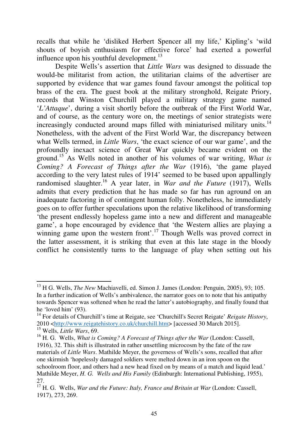recalls that while he 'disliked Herbert Spencer all my life,' Kipling's 'wild shouts of boyish enthusiasm for effective force' had exerted a powerful influence upon his youthful development. $^{13}$ 

Despite Wells's assertion that *Little Wars* was designed to dissuade the would-be militarist from action, the utilitarian claims of the advertiser are supported by evidence that war games found favour amongst the political top brass of the era. The guest book at the military stronghold, Reigate Priory, records that Winston Churchill played a military strategy game named '*L'Attaque*', during a visit shortly before the outbreak of the First World War, and of course, as the century wore on, the meetings of senior strategists were increasingly conducted around maps filled with miniaturised military units.<sup>14</sup> Nonetheless, with the advent of the First World War, the discrepancy between what Wells termed, in *Little Wars*, 'the exact science of our war game', and the profoundly inexact science of Great War quickly became evident on the ground.<sup>15</sup> As Wells noted in another of his volumes of war writing, *What is Coming? A Forecast of Things after the War* (1916), 'the game played according to the very latest rules of 1914' seemed to be based upon appallingly randomised slaughter.<sup>16</sup> A year later, in *War and the Future* (1917), Wells admits that every prediction that he has made so far has run aground on an inadequate factoring in of contingent human folly. Nonetheless, he immediately goes on to offer further speculations upon the relative likelihood of transforming 'the present endlessly hopeless game into a new and different and manageable game', a hope encouraged by evidence that 'the Western allies are playing a winning game upon the western front'.<sup>17</sup> Though Wells was proved correct in the latter assessment, it is striking that even at this late stage in the bloody conflict he consistently turns to the language of play when setting out his

<sup>13</sup> H G. Wells, *The New* Machiavelli, ed. Simon J. James (London: Penguin, 2005), 93; 105. In a further indication of Wells's ambivalence, the narrator goes on to note that his antipathy towards Spencer was softened when he read the latter's autobiography, and finally found that he 'loved him' (93).

<sup>14</sup> For details of Churchill's time at Reigate, see 'Churchill's Secret Reigate' *Reigate History*, 2010 <http://www.reigatehistory.co.uk/churchill.htm> [accessed 30 March 2015]. <sup>15</sup> Wells, *Little Wars*, 69.

<sup>16</sup> H. G. Wells, *What is Coming? A Forecast of Things after the War* (London: Cassell, 1916), 32. This shift is illustrated in rather unsettling microcosm by the fate of the raw materials of *Little Wars*. Mathilde Meyer, the governess of Wells's sons, recalled that after one skirmish 'hopelessly damaged soldiers were melted down in an iron spoon on the schoolroom floor, and others had a new head fixed on by means of a match and liquid lead.' Mathilde Meyer, *H. G. Wells and His Family* (Edinburgh: International Publishing, 1955), 27.

<sup>17</sup> H. G. Wells, *War and the Future: Italy, France and Britain at War* (London: Cassell, 1917), 273, 269.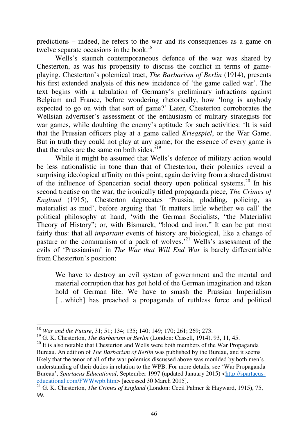predictions – indeed, he refers to the war and its consequences as a game on twelve separate occasions in the book.<sup>18</sup>

Wells's staunch contemporaneous defence of the war was shared by Chesterton, as was his propensity to discuss the conflict in terms of gameplaying. Chesterton's polemical tract, *The Barbarism of Berlin* (1914), presents his first extended analysis of this new incidence of 'the game called war'. The text begins with a tabulation of Germany's preliminary infractions against Belgium and France, before wondering rhetorically, how 'long is anybody expected to go on with that sort of game?' Later, Chesterton corroborates the Wellsian advertiser's assessment of the enthusiasm of military strategists for war games, while doubting the enemy's aptitude for such activities: 'It is said that the Prussian officers play at a game called *Kriegspiel*, or the War Game. But in truth they could not play at any game; for the essence of every game is that the rules are the same on both sides.<sup>'19</sup>

While it might be assumed that Wells's defence of military action would be less nationalistic in tone than that of Chesterton, their polemics reveal a surprising ideological affinity on this point, again deriving from a shared distrust of the influence of Spencerian social theory upon political systems.<sup>20</sup> In his second treatise on the war, the ironically titled propaganda piece, *The Crimes of England* (1915), Chesterton deprecates 'Prussia, plodding, policing, as materialist as mud', before arguing that 'It matters little whether we call' the political philosophy at hand, 'with the German Socialists, "the Materialist Theory of History"; or, with Bismarck, "blood and iron." It can be put most fairly thus: that all *important* events of history are biological, like a change of pasture or the communism of a pack of wolves.'<sup>21</sup> Wells's assessment of the evils of 'Prussianism' in *The War that Will End War* is barely differentiable from Chesterton's position:

We have to destroy an evil system of government and the mental and material corruption that has got hold of the German imagination and taken hold of German life. We have to smash the Prussian Imperialism [...which] has preached a propaganda of ruthless force and political

<sup>18</sup> *War and the Future*, 31; 51; 134; 135; 140; 149; 170; 261; 269; 273.

<sup>19</sup> G. K. Chesterton, *The Barbarism of Berlin* (London: Cassell, 1914), 93, 11, 45.

 $20$  It is also notable that Chesterton and Wells were both members of the War Propaganda Bureau. An edition of *The Barbarism of Berlin* was published by the Bureau, and it seems likely that the tenor of all of the war polemics discussed above was moulded by both men's understanding of their duties in relation to the WPB. For more details, see 'War Propaganda Bureau', *Spartacus Educational*, September 1997 (updated January 2015) <http://spartacuseducational.com/FWWwpb.htm> [accessed 30 March 2015].

<sup>&</sup>lt;sup>21</sup> G. K. Chesterton, *The Crimes of England* (London: Cecil Palmer & Hayward, 1915), 75, 99.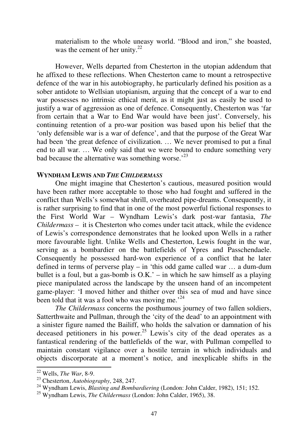materialism to the whole uneasy world. "Blood and iron," she boasted, was the cement of her unity. $22$ 

However, Wells departed from Chesterton in the utopian addendum that he affixed to these reflections. When Chesterton came to mount a retrospective defence of the war in his autobiography, he particularly defined his position as a sober antidote to Wellsian utopianism, arguing that the concept of a war to end war possesses no intrinsic ethical merit, as it might just as easily be used to justify a war of aggression as one of defence. Consequently, Chesterton was 'far from certain that a War to End War would have been just'. Conversely, his continuing retention of a pro-war position was based upon his belief that the 'only defensible war is a war of defence', and that the purpose of the Great War had been 'the great defence of civilization. … We never promised to put a final end to all war. … We only said that we were bound to endure something very bad because the alternative was something worse.<sup> $23$ </sup>

### **WYNDHAM LEWIS AND** *THE CHILDERMASS*

One might imagine that Chesterton's cautious, measured position would have been rather more acceptable to those who had fought and suffered in the conflict than Wells's somewhat shrill, overheated pipe-dreams. Consequently, it is rather surprising to find that in one of the most powerful fictional responses to the First World War – Wyndham Lewis's dark post-war fantasia, *The Childermass –* it is Chesterton who comes under tacit attack, while the evidence of Lewis's correspondence demonstrates that he looked upon Wells in a rather more favourable light. Unlike Wells and Chesterton, Lewis fought in the war, serving as a bombardier on the battlefields of Ypres and Passchendaele. Consequently he possessed hard-won experience of a conflict that he later defined in terms of perverse play – in 'this odd game called war … a dum-dum bullet is a foul, but a gas-bomb is  $O.K.$  – in which he saw himself as a playing piece manipulated across the landscape by the unseen hand of an incompetent game-player: 'I moved hither and thither over this sea of mud and have since been told that it was a fool who was moving me.<sup> $24$ </sup>

*The Childermass* concerns the posthumous journey of two fallen soldiers, Satterthwaite and Pullman, through the 'city of the dead' to an appointment with a sinister figure named the Bailiff, who holds the salvation or damnation of his deceased petitioners in his power.<sup>25</sup> Lewis's city of the dead operates as a fantastical rendering of the battlefields of the war, with Pullman compelled to maintain constant vigilance over a hostile terrain in which individuals and objects discorporate at a moment's notice, and inexplicable shifts in the ֬֒

<sup>22</sup> Wells, *The War*, 8-9.

<sup>23</sup> Chesterton, *Autobiography*, 248, 247.

<sup>24</sup> Wyndham Lewis, *Blasting and Bombardiering* (London: John Calder, 1982), 151; 152.

<sup>25</sup> Wyndham Lewis, *The Childermass* (London: John Calder, 1965), 38.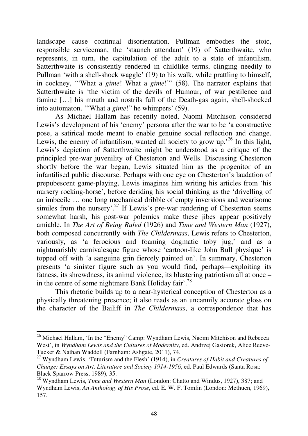landscape cause continual disorientation. Pullman embodies the stoic, responsible serviceman, the 'staunch attendant' (19) of Satterthwaite, who represents, in turn, the capitulation of the adult to a state of infantilism. Satterthwaite is consistently rendered in childlike terms, clinging needily to Pullman 'with a shell-shock waggle' (19) to his walk, while prattling to himself, in cockney, '"What a *gime*! What a *gime*!"' (58). The narrator explains that Satterthwaite is 'the victim of the devils of Humour, of war pestilence and famine […] his mouth and nostrils full of the Death-gas again, shell-shocked into automaton. '"What a *gime*!" he whimpers' (59).

As Michael Hallam has recently noted, Naomi Mitchison considered Lewis's development of his 'enemy' persona after the war to be 'a constructive pose, a satirical mode meant to enable genuine social reflection and change. Lewis, the enemy of infantilism, wanted all society to grow up.<sup>26</sup> In this light, Lewis's depiction of Satterthwaite might be understood as a critique of the principled pre-war juvenility of Chesterton and Wells. Discussing Chesterton shortly before the war began, Lewis situated him as the progenitor of an infantilised public discourse. Perhaps with one eye on Chesterton's laudation of prepubescent game-playing, Lewis imagines him writing his articles from 'his nursery rocking-horse', before deriding his social thinking as the 'drivelling of an imbecile … one long mechanical dribble of empty inversions and wearisome similes from the nursery'.<sup>27</sup> If Lewis's pre-war rendering of Chesterton seems somewhat harsh, his post-war polemics make these jibes appear positively amiable. In *The Art of Being Ruled* (1926) and *Time and Western Man* (1927), both composed concurrently with *The Childermass*, Lewis refers to Chesterton, variously, as 'a ferocious and foaming dogmatic toby jug,' and as a nightmarishly carnivalesque figure whose 'cartoon-like John Bull physique' is topped off with 'a sanguine grin fiercely painted on'. In summary, Chesterton presents 'a sinister figure such as you would find, perhaps—exploiting its fatness, its shrewdness, its animal violence, its blustering patriotism all at once – in the centre of some nightmare Bank Holiday fair'.<sup>28</sup>

This rhetoric builds up to a near-hysterical conception of Chesterton as a physically threatening presence; it also reads as an uncannily accurate gloss on the character of the Bailiff in *The Childermass*, a correspondence that has

<sup>&</sup>lt;sup>26</sup> Michael Hallam, 'In the "Enemy" Camp: Wyndham Lewis, Naomi Mitchison and Rebecca West', in *Wyndham Lewis and the Cultures of Modernity*, ed. Andrzej Gasiorek, Alice Reeve-Tucker & Nathan Waddell (Farnham: Ashgate, 2011), 74.

<sup>27</sup> Wyndham Lewis, 'Futurism and the Flesh' (1914), in *Creatures of Habit and Creatures of Change: Essays on Art, Literature and Society 1914-1956*, ed. Paul Edwards (Santa Rosa: Black Sparrow Press, 1989), 35.

<sup>&</sup>lt;sup>28</sup> Wyndham Lewis, *Time and Western Man* (London: Chatto and Windus, 1927), 387; and Wyndham Lewis, *An Anthology of His Prose*, ed. E. W. F. Tomlin (London: Methuen, 1969), 157.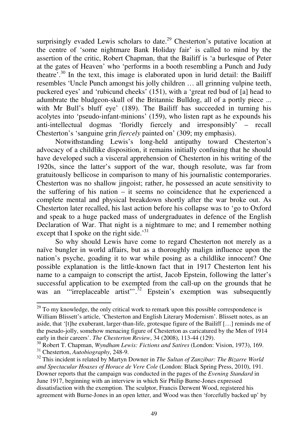surprisingly evaded Lewis scholars to date.<sup>29</sup> Chesterton's putative location at the centre of 'some nightmare Bank Holiday fair' is called to mind by the assertion of the critic, Robert Chapman, that the Bailiff is 'a burlesque of Peter at the gates of Heaven' who 'performs in a booth resembling a Punch and Judy theatre'.<sup>30</sup> In the text, this image is elaborated upon in lurid detail: the Bailiff resembles 'Uncle Punch amongst his jolly children … all grinning vulpine teeth, puckered eyes' and 'rubicund cheeks' (151), with a 'great red bud of [a] head to adumbrate the bludgeon-skull of the Britannic Bulldog, all of a portly piece ... with Mr Bull's bluff eye' (189). The Bailiff has succeeded in turning his acolytes into 'pseudo-infant-minions' (159), who listen rapt as he expounds his anti-intellectual dogmas 'floridly fiercely and irresponsibly' – recall Chesterton's 'sanguine grin *fiercely* painted on' (309; my emphasis).

Notwithstanding Lewis's long-held antipathy toward Chesterton's advocacy of a childlike disposition, it remains initially confusing that he should have developed such a visceral apprehension of Chesterton in his writing of the 1920s, since the latter's support of the war, though resolute, was far from gratuitously bellicose in comparison to many of his journalistic contemporaries. Chesterton was no shallow jingoist; rather, he possessed an acute sensitivity to the suffering of his nation – it seems no coincidence that he experienced a complete mental and physical breakdown shortly after the war broke out. As Chesterton later recalled, his last action before his collapse was to 'go to Oxford and speak to a huge packed mass of undergraduates in defence of the English Declaration of War. That night is a nightmare to me; and I remember nothing except that I spoke on the right side.<sup>31</sup>

So why should Lewis have come to regard Chesterton not merely as a naïve bungler in world affairs, but as a thoroughly malign influence upon the nation's psyche, goading it to war while posing as a childlike innocent? One possible explanation is the little-known fact that in 1917 Chesterton lent his name to a campaign to conscript the artist, Jacob Epstein, following the latter's successful application to be exempted from the call-up on the grounds that he was an "irreplaceable artist".<sup> $\frac{32}{2}$ </sup> Epstein's exemption was subsequently

 $^{29}$  To my knowledge, the only critical work to remark upon this possible correspondence is William Blissett's article, 'Chesterton and English Literary Modernism'. Blissett notes, as an aside, that '[t]he exuberant, larger-than-life, grotesque figure of the Bailiff […] reminds me of the pseudo-jolly, somehow menacing figure of Chesterton as caricatured by the Men of 1914 early in their careers'. *The Chesterton Review*, 34 (2008), 113-44 (129).

<sup>30</sup> Robert T. Chapman, *Wyndham Lewis: Fictions and Satires* (London: Vision, 1973), 169. <sup>31</sup> Chesterton, *Autobiography*, 248-9.

<sup>32</sup> This incident is related by Martyn Downer in *The Sultan of Zanzibar: The Bizarre World and Spectacular Hoaxes of Horace de Vere Cole* (London: Black Spring Press, 2010), 191. Downer reports that the campaign was conducted in the pages of the *Evening Standard* in June 1917, beginning with an interview in which Sir Philip Burne-Jones expressed dissatisfaction with the exemption. The sculptor, Francis Derwent Wood, registered his agreement with Burne-Jones in an open letter, and Wood was then 'forcefully backed up' by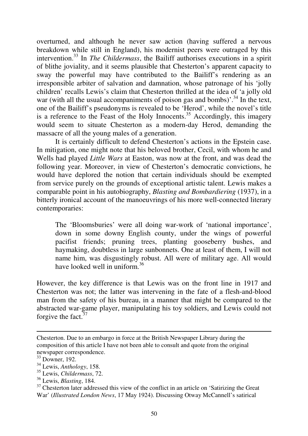overturned, and although he never saw action (having suffered a nervous breakdown while still in England), his modernist peers were outraged by this intervention.<sup>33</sup> In *The Childermass*, the Bailiff authorises executions in a spirit of blithe joviality, and it seems plausible that Chesterton's apparent capacity to sway the powerful may have contributed to the Bailiff's rendering as an irresponsible arbiter of salvation and damnation, whose patronage of his 'jolly children' recalls Lewis's claim that Chesterton thrilled at the idea of 'a jolly old war (with all the usual accompaniments of poison gas and bombs)'.<sup>34</sup> In the text, one of the Bailiff's pseudonyms is revealed to be 'Herod', while the novel's title is a reference to the Feast of the Holy Innocents.<sup>35</sup> Accordingly, this imagery would seem to situate Chesterton as a modern-day Herod, demanding the massacre of all the young males of a generation.

It is certainly difficult to defend Chesterton's actions in the Epstein case. In mitigation, one might note that his beloved brother, Cecil, with whom he and Wells had played *Little Wars* at Easton, was now at the front, and was dead the following year. Moreover, in view of Chesterton's democratic convictions, he would have deplored the notion that certain individuals should be exempted from service purely on the grounds of exceptional artistic talent. Lewis makes a comparable point in his autobiography, *Blasting and Bombardiering* (1937), in a bitterly ironical account of the manoeuvrings of his more well-connected literary contemporaries:

The 'Bloomsburies' were all doing war-work of 'national importance', down in some downy English county, under the wings of powerful pacifist friends; pruning trees, planting gooseberry bushes, and haymaking, doubtless in large sunbonnets. One at least of them, I will not name him, was disgustingly robust. All were of military age. All would have looked well in uniform.<sup>36</sup>

However, the key difference is that Lewis was on the front line in 1917 and Chesterton was not; the latter was intervening in the fate of a flesh-and-blood man from the safety of his bureau, in a manner that might be compared to the abstracted war-game player, manipulating his toy soldiers, and Lewis could not forgive the fact.<sup>37</sup>

Chesterton. Due to an embargo in force at the British Newspaper Library during the composition of this article I have not been able to consult and quote from the original newspaper correspondence.

<sup>33</sup> Downer, 192.

<sup>34</sup> Lewis, *Anthology*, 158.

<sup>35</sup> Lewis, *Childermass*, 72.

<sup>36</sup> Lewis, *Blasting*, 184.

<sup>&</sup>lt;sup>37</sup> Chesterton later addressed this view of the conflict in an article on 'Satirizing the Great War' (*Illustrated London News*, 17 May 1924). Discussing Otway McCannell's satirical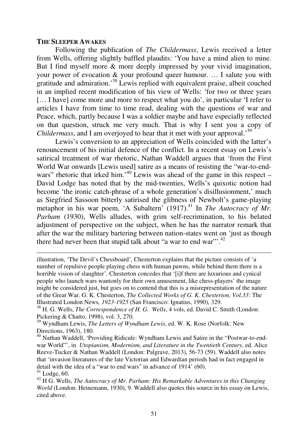#### **THE SLEEPER AWAKES**

֬֒

Following the publication of *The Childermass*, Lewis received a letter from Wells, offering slightly baffled plaudits: 'You have a mind alien to mine. But I find myself more & more deeply impressed by your vivid imagination, your power of evocation & your profound queer humour. … I salute you with gratitude and admiration.'<sup>38</sup> Lewis replied with equivalent praise, albeit couched in an implied recent modification of his view of Wells: 'for two or three years [… I have] come more and more to respect what you do', in particular 'I refer to articles I have from time to time read, dealing with the questions of war and Peace, which, partly because I was a soldier maybe and have especially reflected on that question, struck me very much. That is why I sent you a copy of *Childermass*, and I am overjoyed to hear that it met with your approval.'<sup>39</sup>

Lewis's conversion to an appreciation of Wells coincided with the latter's renouncement of his initial defence of the conflict. In a recent essay on Lewis's satirical treatment of war rhetoric, Nathan Waddell argues that 'from the First World War onwards [Lewis used] satire as a means of resisting the "war-to-endwars" rhetoric that irked him.<sup>40</sup> Lewis was ahead of the game in this respect – David Lodge has noted that by the mid-twenties, Wells's quixotic notion had become 'the ironic catch-phrase of a whole generation's disillusionment,' much as Siegfried Sassoon bitterly satirised the glibness of Newbolt's game-playing metaphor in his war poem, 'A Subaltern' (1917).<sup>41</sup> In *The Autocracy of Mr. Parham* (1930), Wells alludes, with grim self-recrimination, to his belated adjustment of perspective on the subject, when he has the narrator remark that after the war the military bartering between nation-states went on 'just as though there had never been that stupid talk about "a war to end war".<sup>42</sup>

illustration, 'The Devil's Chessboard', Chesterton explains that the picture consists of 'a number of repulsive people playing chess with human pawns, while behind them there is a horrible vision of slaughter'. Chesterton concedes that '[i]f there are luxurious and cynical people who launch wars wantonly for their own amusement, like chess-players' the image might be considered just, but goes on to contend that this is a misrepresentation of the nature of the Great War. G. K. Chesterton, *The Collected Works of G. K. Chesterton, Vol.33:* The Illustrated London News*, 1923-1925* (San Francisco: Ignatius, 1990), 329.

<sup>&</sup>lt;sup>38</sup> H. G. Wells, *The Correspondence of H. G. Wells*, 4 vols, ed. David C. Smith (London: Pickering & Chatto, 1998), vol. 3, 270.

<sup>39</sup> Wyndham Lewis, *The Letters of Wyndham Lewis*, ed. W. K. Rose (Norfolk: New Directions, 1963), 180.

<sup>40</sup> Nathan Waddell, 'Providing Ridicule: Wyndham Lewis and Satire in the "Postwar-to-endwar World"', in *Utopianism, Modernism, and Literature in the Twentieth Century*, ed. Alice Reeve-Tucker & Nathan Waddell (London: Palgrave, 2013), 56-73 (59). Waddell also notes that 'invasion literatures of the late Victorian and Edwardian periods had in fact engaged in detail with the idea of a "war to end wars" in advance of 1914' (60).  $41$  Lodge, 60.

<sup>42</sup> H G. Wells, *The Autocracy of Mr. Parham: His Remarkable Adventures in this Changing World* (London: Heinemann, 1930), 9. Waddell also quotes this source in his essay on Lewis, cited above.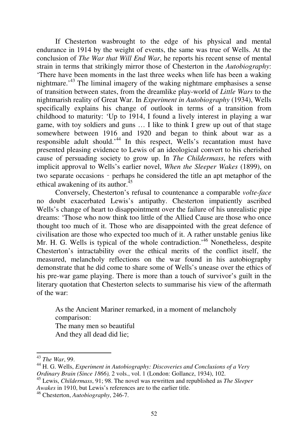If Chesterton wasbrought to the edge of his physical and mental endurance in 1914 by the weight of events, the same was true of Wells. At the conclusion of *The War that Will End War*, he reports his recent sense of mental strain in terms that strikingly mirror those of Chesterton in the *Autobiography*: 'There have been moments in the last three weeks when life has been a waking nightmare.'<sup>43</sup> The liminal imagery of the waking nightmare emphasises a sense of transition between states, from the dreamlike play-world of *Little Wars* to the nightmarish reality of Great War. In *Experiment in Autobiography* (1934), Wells specifically explains his change of outlook in terms of a transition from childhood to maturity: 'Up to 1914, I found a lively interest in playing a war game, with toy soldiers and guns … I like to think I grew up out of that stage somewhere between 1916 and 1920 and began to think about war as a responsible adult should.<sup>44</sup> In this respect, Wells's recantation must have presented pleasing evidence to Lewis of an ideological convert to his cherished cause of persuading society to grow up. In *The Childermass*, he refers with implicit approval to Wells's earlier novel, *When the Sleeper Wakes* (1899), on two separate occasions – perhaps he considered the title an apt metaphor of the ethical awakening of its author.<sup>45</sup>

Conversely, Chesterton's refusal to countenance a comparable *volte-face* no doubt exacerbated Lewis's antipathy. Chesterton impatiently ascribed Wells's change of heart to disappointment over the failure of his unrealistic pipe dreams: 'Those who now think too little of the Allied Cause are those who once thought too much of it. Those who are disappointed with the great defence of civilisation are those who expected too much of it. A rather unstable genius like Mr. H. G. Wells is typical of the whole contradiction.<sup>46</sup> Nonetheless, despite Chesterton's intractability over the ethical merits of the conflict itself, the measured, melancholy reflections on the war found in his autobiography demonstrate that he did come to share some of Wells's unease over the ethics of his pre-war game playing. There is more than a touch of survivor's guilt in the literary quotation that Chesterton selects to summarise his view of the aftermath of the war:

As the Ancient Mariner remarked, in a moment of melancholy comparison: The many men so beautiful And they all dead did lie;

<sup>43</sup> *The War*, 99.

<sup>44</sup> H. G. Wells, *Experiment in Autobiography: Discoveries and Conclusions of a Very Ordinary Brain (Since 1866),* 2 vols., vol. 1 (London: Gollancz, 1934), 102.

<sup>45</sup> Lewis, *Childermass*, 91; 98. The novel was rewritten and republished as *The Sleeper Awakes* in 1910, but Lewis's references are to the earlier title.

<sup>46</sup> Chesterton, *Autobiography*, 246-7.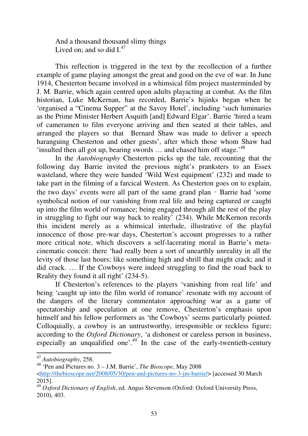And a thousand thousand slimy things Lived on; and so did  $I^{47}$ .

This reflection is triggered in the text by the recollection of a further example of game playing amongst the great and good on the eve of war. In June 1914, Chesterton became involved in a whimsical film project masterminded by J. M. Barrie, which again centred upon adults playacting at combat. As the film historian, Luke McKernan, has recorded, Barrie's hijinks began when he 'organised a "Cinema Supper" at the Savoy Hotel', including 'such luminaries as the Prime Minister Herbert Asquith [and] Edward Elgar'. Barrie 'hired a team of cameramen to film everyone arriving and then seated at their tables, and arranged the players so that Bernard Shaw was made to deliver a speech haranguing Chesterton and other guests', after which those whom Shaw had 'insulted then all got up, bearing swords ... and chased him off stage.'<sup>48</sup>

In the *Autobiography* Chesterton picks up the tale, recounting that the following day Barrie invited the previous night's pranksters to an Essex wasteland, where they were handed 'Wild West equipment' (232) and made to take part in the filming of a farcical Western. As Chesterton goes on to explain, the two days' events were all part of the same grand plan – Barrie had 'some symbolical notion of our vanishing from real life and being captured or caught up into the film world of romance; being engaged through all the rest of the play in struggling to fight our way back to reality' (234). While McKernon records this incident merely as a whimsical interlude, illustrative of the playful innocence of those pre-war days, Chesterton's account progresses to a rather more critical note, which discovers a self-lacerating moral in Barrie's metacinematic conceit: there 'had really been a sort of unearthly unreality in all the levity of those last hours; like something high and shrill that might crack; and it did crack. … If the Cowboys were indeed struggling to find the road back to Reality they found it all right' (234-5).

If Chesterton's references to the players 'vanishing from real life' and being 'caught up into the film world of romance' resonate with my account of the dangers of the literary commentator approaching war as a game of spectatorship and speculation at one remove, Chesterton's emphasis upon himself and his fellow performers as 'the Cowboys' seems particularly pointed. Colloquially, a cowboy is an untrustworthy, irresponsible or reckless figure; according to the *Oxford Dictionary*, 'a dishonest or careless person in business, especially an unqualified one'. $49$  In the case of the early-twentieth-century

<sup>47</sup> *Autobiography*, 258.

<sup>48</sup> 'Pen and Pictures no. 3 – J.M. Barrie', *The Bioscope*, May 2008 <http://thebioscope.net/2008/05/30/pen-and-pictures-no-3-jm-barrie/> [accessed 30 March 2015].

<sup>49</sup> *Oxford Dictionary of English*, ed. Angus Stevenson (Oxford: Oxford University Press, 2010), 403.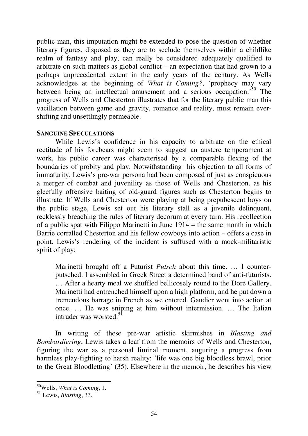public man, this imputation might be extended to pose the question of whether literary figures, disposed as they are to seclude themselves within a childlike realm of fantasy and play, can really be considered adequately qualified to arbitrate on such matters as global conflict – an expectation that had grown to a perhaps unprecedented extent in the early years of the century. As Wells acknowledges at the beginning of *What is Coming?*, 'prophecy may vary between being an intellectual amusement and a serious occupation.'<sup>50</sup> The progress of Wells and Chesterton illustrates that for the literary public man this vacillation between game and gravity, romance and reality, must remain evershifting and unsettlingly permeable.

## **SANGUINE SPECULATIONS**

While Lewis's confidence in his capacity to arbitrate on the ethical rectitude of his forebears might seem to suggest an austere temperament at work, his public career was characterised by a comparable flexing of the boundaries of probity and play. Notwithstanding his objection to all forms of immaturity, Lewis's pre-war persona had been composed of just as conspicuous a merger of combat and juvenility as those of Wells and Chesterton, as his gleefully offensive baiting of old-guard figures such as Chesterton begins to illustrate. If Wells and Chesterton were playing at being prepubescent boys on the public stage, Lewis set out his literary stall as a juvenile delinquent, recklessly breaching the rules of literary decorum at every turn. His recollection of a public spat with Filippo Marinetti in June 1914 – the same month in which Barrie corralled Chesterton and his fellow cowboys into action – offers a case in point. Lewis's rendering of the incident is suffused with a mock-militaristic spirit of play:

Marinetti brought off a Futurist *Putsch* about this time. … I counterputsched. I assembled in Greek Street a determined band of anti-futurists. … After a hearty meal we shuffled bellicosely round to the Doré Gallery. Marinetti had entrenched himself upon a high platform, and he put down a tremendous barrage in French as we entered. Gaudier went into action at once. … He was sniping at him without intermission. … The Italian intruder was worsted. $5\overline{1}$ 

In writing of these pre-war artistic skirmishes in *Blasting and Bombardiering*, Lewis takes a leaf from the memoirs of Wells and Chesterton, figuring the war as a personal liminal moment, auguring a progress from harmless play-fighting to harsh reality: 'life was one big bloodless brawl, prior to the Great Bloodletting' (35). Elsewhere in the memoir, he describes his view

<sup>50</sup>Wells, *What is Coming*, 1.

<sup>51</sup> Lewis, *Blasting*, 33.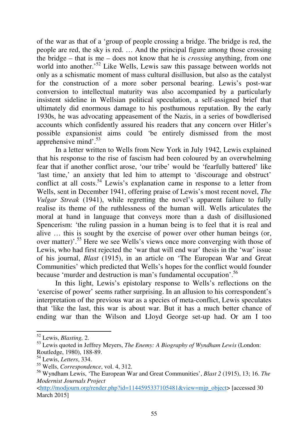of the war as that of a 'group of people crossing a bridge. The bridge is red, the people are red, the sky is red. … And the principal figure among those crossing the bridge – that is me – does not know that he is *crossing* anything, from one world into another.<sup>52</sup> Like Wells, Lewis saw this passage between worlds not only as a schismatic moment of mass cultural disillusion, but also as the catalyst for the construction of a more sober personal bearing. Lewis's post-war conversion to intellectual maturity was also accompanied by a particularly insistent sideline in Wellsian political speculation, a self-assigned brief that ultimately did enormous damage to his posthumous reputation. By the early 1930s, he was advocating appeasement of the Nazis, in a series of bowdlerised accounts which confidently assured his readers that any concern over Hitler's possible expansionist aims could 'be entirely dismissed from the most apprehensive mind'.<sup>53</sup>

In a letter written to Wells from New York in July 1942, Lewis explained that his response to the rise of fascism had been coloured by an overwhelming fear that if another conflict arose, 'our tribe' would be 'fearfully battered' like 'last time,' an anxiety that led him to attempt to 'discourage and obstruct' conflict at all costs.<sup>54</sup> Lewis's explanation came in response to a letter from Wells, sent in December 1941, offering praise of Lewis's most recent novel, *The Vulgar Streak* (1941), while regretting the novel's apparent failure to fully realise its theme of the ruthlessness of the human will. Wells articulates the moral at hand in language that conveys more than a dash of disillusioned Spencerism: 'the ruling passion in a human being is to feel that it is real and alive … this is sought by the exercise of power over other human beings (or, over matter)'.<sup>55</sup> Here we see Wells's views once more converging with those of Lewis, who had first rejected the 'war that will end war' thesis in the 'war' issue of his journal, *Blast* (1915), in an article on 'The European War and Great Communities' which predicted that Wells's hopes for the conflict would founder because 'murder and destruction is man's fundamental occupation'.<sup>56</sup>

In this light, Lewis's epistolary response to Wells's reflections on the 'exercise of power' seems rather surprising. In an allusion to his correspondent's interpretation of the previous war as a species of meta-conflict, Lewis speculates that 'like the last, this war is about war. But it has a much better chance of ending war than the Wilson and Lloyd George set-up had. Or am I too

֦

<sup>52</sup> Lewis, *Blasting,* 2.

<sup>53</sup> Lewis quoted in Jeffrey Meyers, *The Enemy: A Biography of Wyndham Lewis* (London: Routledge, 1980), 188-89.

<sup>54</sup> Lewis, *Letters*, 334.

<sup>55</sup> Wells, *Correspondence*, vol. 4, 312.

<sup>56</sup> Wyndham Lewis, 'The European War and Great Communities', *Blast 2* (1915), 13; 16. *The Modernist Journals Project*

<sup>&</sup>lt;http://modjourn.org/render.php?id=1144595337105481&view=mjp\_object> [accessed 30 March 2015]